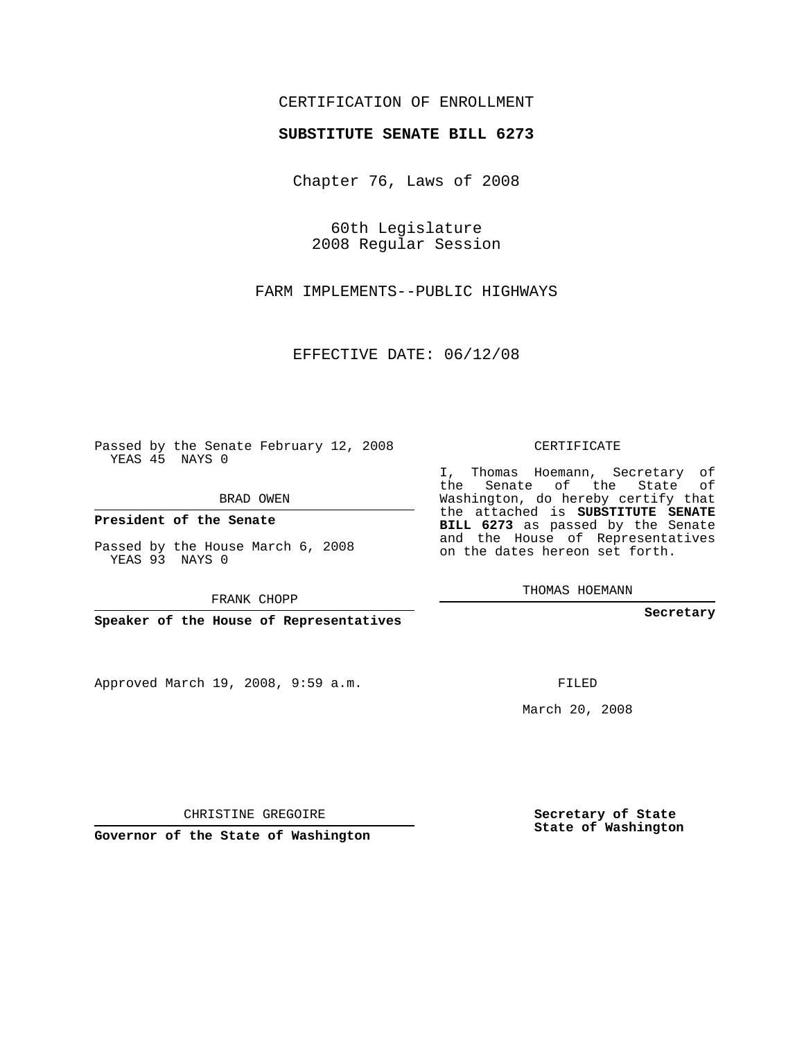## CERTIFICATION OF ENROLLMENT

## **SUBSTITUTE SENATE BILL 6273**

Chapter 76, Laws of 2008

60th Legislature 2008 Regular Session

FARM IMPLEMENTS--PUBLIC HIGHWAYS

EFFECTIVE DATE: 06/12/08

Passed by the Senate February 12, 2008 YEAS 45 NAYS 0

BRAD OWEN

**President of the Senate**

Passed by the House March 6, 2008 YEAS 93 NAYS 0

FRANK CHOPP

**Speaker of the House of Representatives**

Approved March 19, 2008, 9:59 a.m.

CERTIFICATE

I, Thomas Hoemann, Secretary of the Senate of the State of Washington, do hereby certify that the attached is **SUBSTITUTE SENATE BILL 6273** as passed by the Senate and the House of Representatives on the dates hereon set forth.

THOMAS HOEMANN

**Secretary**

FILED

March 20, 2008

**Secretary of State State of Washington**

CHRISTINE GREGOIRE

**Governor of the State of Washington**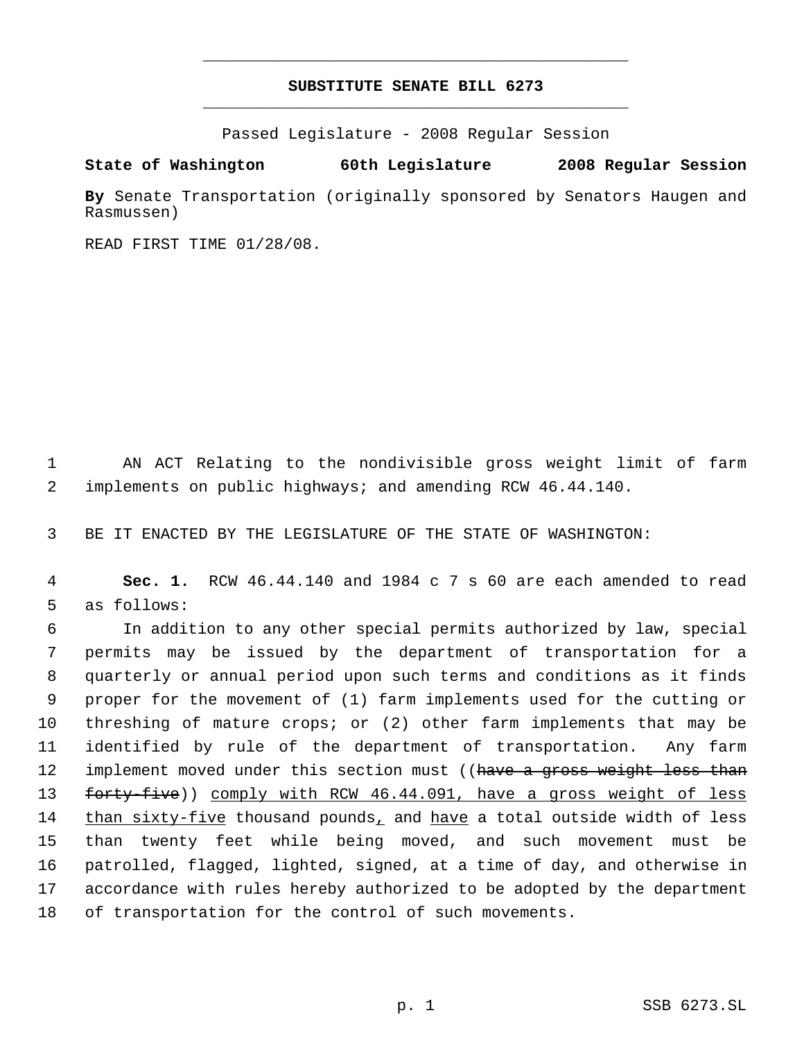## **SUBSTITUTE SENATE BILL 6273** \_\_\_\_\_\_\_\_\_\_\_\_\_\_\_\_\_\_\_\_\_\_\_\_\_\_\_\_\_\_\_\_\_\_\_\_\_\_\_\_\_\_\_\_\_

\_\_\_\_\_\_\_\_\_\_\_\_\_\_\_\_\_\_\_\_\_\_\_\_\_\_\_\_\_\_\_\_\_\_\_\_\_\_\_\_\_\_\_\_\_

Passed Legislature - 2008 Regular Session

**State of Washington 60th Legislature 2008 Regular Session**

**By** Senate Transportation (originally sponsored by Senators Haugen and Rasmussen)

READ FIRST TIME 01/28/08.

 1 AN ACT Relating to the nondivisible gross weight limit of farm 2 implements on public highways; and amending RCW 46.44.140.

3 BE IT ENACTED BY THE LEGISLATURE OF THE STATE OF WASHINGTON:

 4 **Sec. 1.** RCW 46.44.140 and 1984 c 7 s 60 are each amended to read 5 as follows:

 In addition to any other special permits authorized by law, special permits may be issued by the department of transportation for a quarterly or annual period upon such terms and conditions as it finds proper for the movement of (1) farm implements used for the cutting or threshing of mature crops; or (2) other farm implements that may be identified by rule of the department of transportation. Any farm 12 implement moved under this section must ((have a gross weight less than 13 forty-five)) comply with RCW 46.44.091, have a gross weight of less 14 than sixty-five thousand pounds, and have a total outside width of less than twenty feet while being moved, and such movement must be patrolled, flagged, lighted, signed, at a time of day, and otherwise in accordance with rules hereby authorized to be adopted by the department of transportation for the control of such movements.